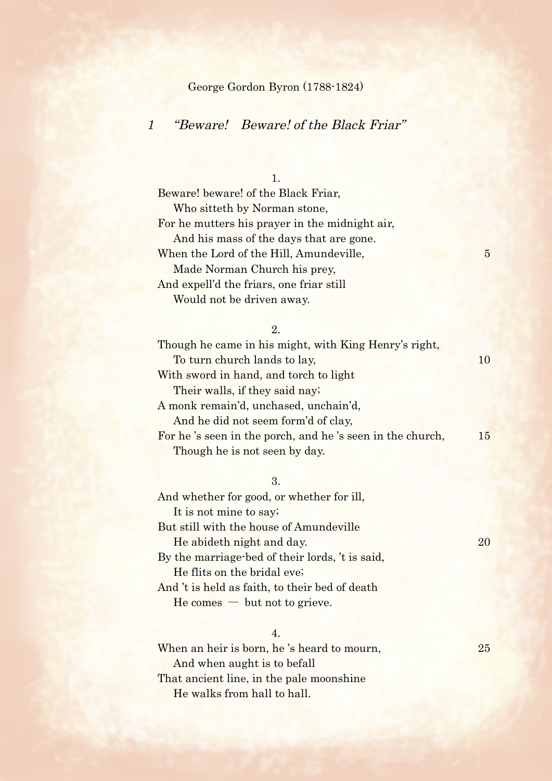## George Gordon Byron (1788-1824)

# 1 "Beware! Beware! of the Black Friar"

1.

Beware! beware! of the Black Friar, Who sitteth by Norman stone, For he mutters his prayer in the midnight air, And his mass of the days that are gone. When the Lord of the Hill, Amundeville, 5 Made Norman Church his prey, And expell'd the friars, one friar still Would not be driven away.

#### 2.

Though he came in his might, with King Henry's right, To turn church lands to lay, 10 With sword in hand, and torch to light Their walls, if they said nay; A monk remain'd, unchased, unchain'd, And he did not seem form'd of clay, For he 's seen in the porch, and he 's seen in the church, 15 Though he is not seen by day.

#### 3.

And whether for good, or whether for ill, It is not mine to say; But still with the house of Amundeville He abideth night and day. 20 By the marriage-bed of their lords, 't is said, He flits on the bridal eve; And 't is held as faith, to their bed of death  $He comes - but not to give.$ 

## 4.

When an heir is born, he's heard to mourn, 25 And when aught is to befall That ancient line, in the pale moonshine He walks from hall to hall.